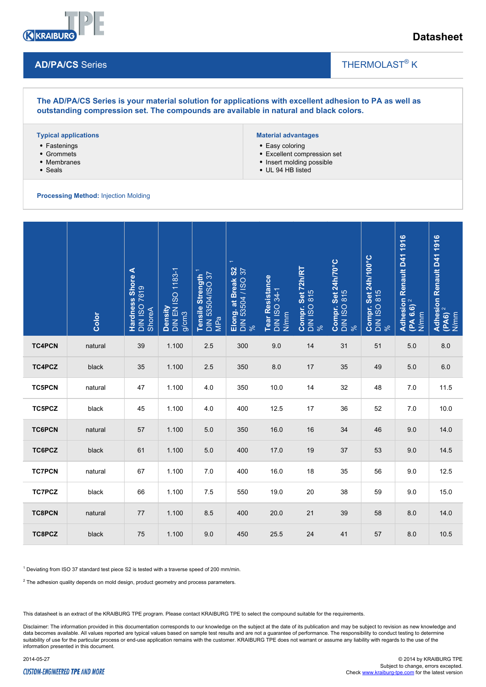

## **Datasheet**

## **AD/PA/CS** Series

# THERMOLAST<sup>®</sup> K

 $\overline{\phantom{a}}$ 

**The AD/PA/CS Series is your material solution for applications with excellent adhesion to PA as well as outstanding compression set. The compounds are available in natural and black colors.**

#### **Typical applications**

- Fastenings
- Grommets
- Membranes
- Seals

### **Material advantages**

- Easy coloring
- Excellent compression set
- Insert molding possible
- UL 94 HB listed

#### **Processing Method:** Injection Molding

|                                                                                                                                                                                              | Color   | Hardness Shore A<br>DIN ISO 7619<br>ShoreA | Density<br>DIN EN ISO 1183-1<br>g/cm3 | Tensile Strength <sup>1</sup><br>DIN 53504/ISO 37<br>MPa | $\leftarrow$<br>Elong. at Break S2<br>DIN 53504 / ISO 37<br>% | <b>Tear Resistance</b><br>DIN ISO 34-1<br>N/mm | Compr. Set 72h/RT<br>DIN ISO 815<br>% | Compr. Set 24h/70°C<br>DIN ISO 815<br>% | Compr. Set 24h/100°C<br>DIN ISO 815<br>% | Adhesion Renault D41 1916<br>(PA 6.6) <sup>2</sup><br>N/mm | Adhesion Renault D41 1916<br>(PA6) <sup>2</sup><br>N/mm |
|----------------------------------------------------------------------------------------------------------------------------------------------------------------------------------------------|---------|--------------------------------------------|---------------------------------------|----------------------------------------------------------|---------------------------------------------------------------|------------------------------------------------|---------------------------------------|-----------------------------------------|------------------------------------------|------------------------------------------------------------|---------------------------------------------------------|
| <b>TC4PCN</b>                                                                                                                                                                                | natural | 39                                         | 1.100                                 | 2.5                                                      | 300                                                           | 9.0                                            | 14                                    | 31                                      | 51                                       | 5.0                                                        | $8.0\,$                                                 |
| TC4PCZ                                                                                                                                                                                       | black   | 35                                         | 1.100                                 | 2.5                                                      | 350                                                           | 8.0                                            | 17                                    | 35                                      | 49                                       | 5.0                                                        | 6.0                                                     |
| <b>TC5PCN</b>                                                                                                                                                                                | natural | 47                                         | 1.100                                 | 4.0                                                      | 350                                                           | 10.0                                           | 14                                    | 32                                      | 48                                       | 7.0                                                        | 11.5                                                    |
| TC5PCZ                                                                                                                                                                                       | black   | 45                                         | 1.100                                 | 4.0                                                      | 400                                                           | 12.5                                           | 17                                    | 36                                      | 52                                       | 7.0                                                        | 10.0                                                    |
| <b>TC6PCN</b>                                                                                                                                                                                | natural | 57                                         | 1.100                                 | $5.0$                                                    | 350                                                           | 16.0                                           | 16                                    | 34                                      | 46                                       | 9.0                                                        | 14.0                                                    |
| TC6PCZ                                                                                                                                                                                       | black   | 61                                         | 1.100                                 | 5.0                                                      | 400                                                           | 17.0                                           | 19                                    | 37                                      | 53                                       | 9.0                                                        | 14.5                                                    |
| <b>TC7PCN</b>                                                                                                                                                                                | natural | 67                                         | 1.100                                 | 7.0                                                      | 400                                                           | 16.0                                           | 18                                    | 35                                      | 56                                       | 9.0                                                        | 12.5                                                    |
| <b>TC7PCZ</b>                                                                                                                                                                                | black   | 66                                         | 1.100                                 | 7.5                                                      | 550                                                           | 19.0                                           | 20                                    | 38                                      | 59                                       | 9.0                                                        | 15.0                                                    |
| <b>TC8PCN</b>                                                                                                                                                                                | natural | 77                                         | 1.100                                 | 8.5                                                      | 400                                                           | 20.0                                           | 21                                    | 39                                      | 58                                       | 8.0                                                        | 14.0                                                    |
| TC8PCZ                                                                                                                                                                                       | black   | 75                                         | 1.100                                 | 9.0                                                      | 450                                                           | 25.5                                           | 24                                    | 41                                      | 57                                       | 8.0                                                        | 10.5                                                    |
| $1$ Deviating from ISO 37 standard test piece S2 is tested with a traverse speed of 200 mm/min.<br>$2$ The adhesion quality depends on mold design, product geometry and process parameters. |         |                                            |                                       |                                                          |                                                               |                                                |                                       |                                         |                                          |                                                            |                                                         |

 $2$  The adhesion quality depends on mold design, product geometry and process parameters.

This datasheet is an extract of the KRAIBURG TPE program. Please contact KRAIBURG TPE to select the compound suitable for the requirements.

Disclaimer: The information provided in this documentation corresponds to our knowledge on the subject at the date of its publication and may be subject to revision as new knowledge and data becomes available. All values reported are typical values based on sample test results and are not a guarantee of performance. The responsibility to conduct testing to determine suitability of use for the particular process or end-use application remains with the customer. KRAIBURG TPE does not warrant or assume any liability with regards to the use of the information presented in this document.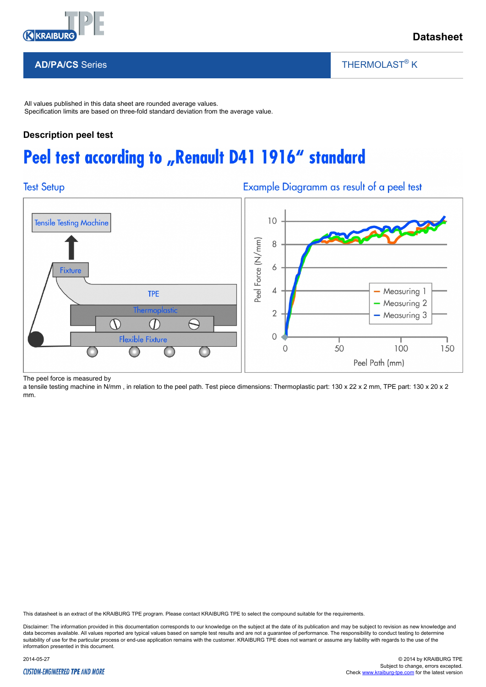

THERMOLAST<sup>®</sup> K

**AD/PA/CS** Series

All values published in this data sheet are rounded average values. Specification limits are based on three-fold standard deviation from the average value.

# **Description peel test**

# Peel test according to "Renault D41 1916" standard

# **Test Setup**

Example Diagramm as result of a peel test

 $\overline{\phantom{a}}$ 



The peel force is measured by

a tensile testing machine in N/mm, in relation to the peel path. Test piece dimensions: Thermoplastic part: 130 x 22 x 2 mm, TPE part: 130 x 20 x 2 mm.

This datasheet is an extract of the KRAIBURG TPE program. Please contact KRAIBURG TPE to select the compound suitable for the requirements.

Disclaimer: The information provided in this documentation corresponds to our knowledge on the subject at the date of its publication and may be subject to revision as new knowledge and data becomes available. All values reported are typical values based on sample test results and are not a guarantee of performance. The responsibility to conduct testing to determine suitability of use for the particular process or end-use application remains with the customer. KRAIBURG TPE does not warrant or assume any liability with regards to the use of the information presented in this document.